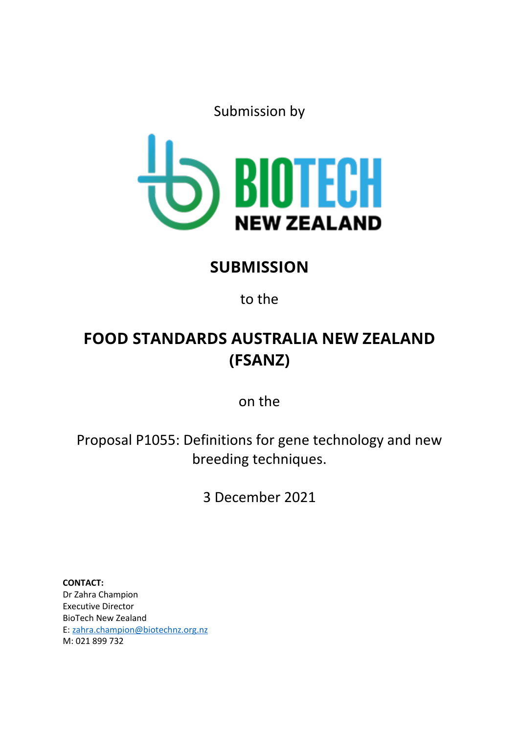Submission by



## **SUBMISSION**

to the

# **FOOD STANDARDS AUSTRALIA NEW ZEALAND (FSANZ)**

on the

Proposal P1055: Definitions for gene technology and new breeding techniques.

3 December 2021

**CONTACT:**  Dr Zahra Champion Executive Director BioTech New Zealand E: [zahra.champion@biotechnz.org.nz](mailto:zahra.champion@biotechnz.org.nz) M: 021 899 732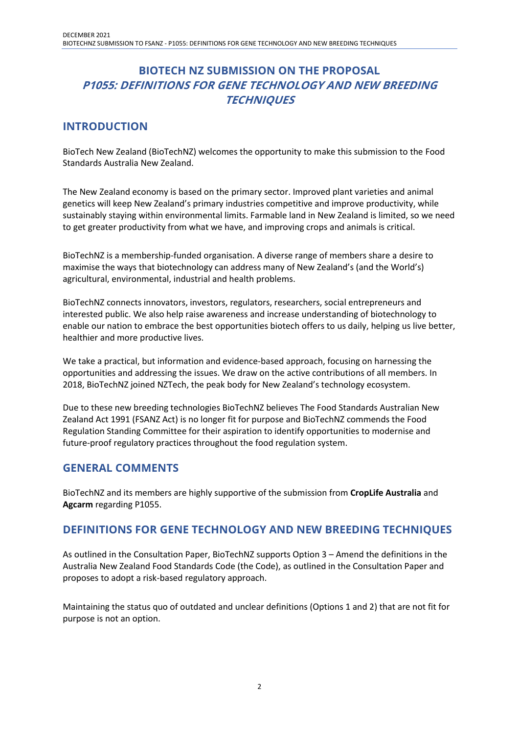## **BIOTECH NZ SUBMISSION ON THE PROPOSAL P1055: DEFINITIONS FOR GENE TECHNOLOGY AND NEW BREEDING TECHNIQUES**

#### **INTRODUCTION**

BioTech New Zealand (BioTechNZ) welcomes the opportunity to make this submission to the Food Standards Australia New Zealand.

The New Zealand economy is based on the primary sector. Improved plant varieties and animal genetics will keep New Zealand's primary industries competitive and improve productivity, while sustainably staying within environmental limits. Farmable land in New Zealand is limited, so we need to get greater productivity from what we have, and improving crops and animals is critical.

BioTechNZ is a membership-funded organisation. A diverse range of members share a desire to maximise the ways that biotechnology can address many of New Zealand's (and the World's) agricultural, environmental, industrial and health problems.

BioTechNZ connects innovators, investors, regulators, researchers, social entrepreneurs and interested public. We also help raise awareness and increase understanding of biotechnology to enable our nation to embrace the best opportunities biotech offers to us daily, helping us live better, healthier and more productive lives.

We take a practical, but information and evidence-based approach, focusing on harnessing the opportunities and addressing the issues. We draw on the active contributions of all members. In 2018, BioTechNZ joined NZTech, the peak body for New Zealand's technology ecosystem.

Due to these new breeding technologies BioTechNZ believes The Food Standards Australian New Zealand Act 1991 (FSANZ Act) is no longer fit for purpose and BioTechNZ commends the Food Regulation Standing Committee for their aspiration to identify opportunities to modernise and future-proof regulatory practices throughout the food regulation system.

#### **GENERAL COMMENTS**

BioTechNZ and its members are highly supportive of the submission from **CropLife Australia** and **Agcarm** regarding P1055.

#### **DEFINITIONS FOR GENE TECHNOLOGY AND NEW BREEDING TECHNIQUES**

As outlined in the Consultation Paper, BioTechNZ supports Option 3 – Amend the definitions in the Australia New Zealand Food Standards Code (the Code), as outlined in the Consultation Paper and proposes to adopt a risk-based regulatory approach.

Maintaining the status quo of outdated and unclear definitions (Options 1 and 2) that are not fit for purpose is not an option.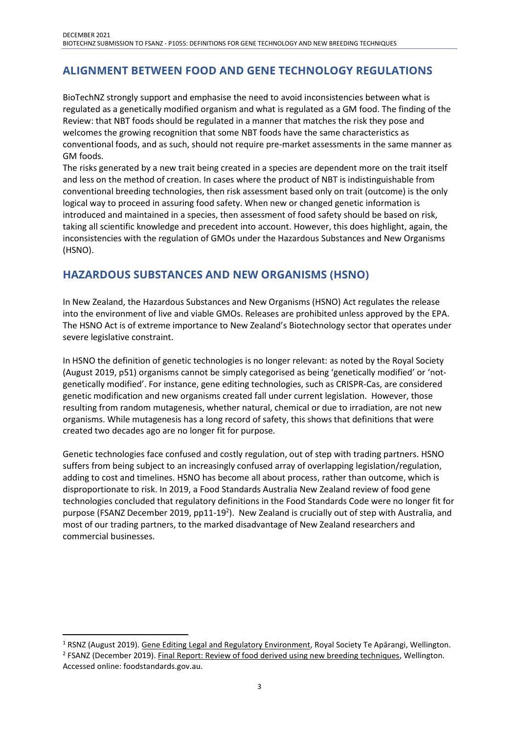## **ALIGNMENT BETWEEN FOOD AND GENE TECHNOLOGY REGULATIONS**

BioTechNZ strongly support and emphasise the need to avoid inconsistencies between what is regulated as a genetically modified organism and what is regulated as a GM food. The finding of the Review: that NBT foods should be regulated in a manner that matches the risk they pose and welcomes the growing recognition that some NBT foods have the same characteristics as conventional foods, and as such, should not require pre-market assessments in the same manner as GM foods.

The risks generated by a new trait being created in a species are dependent more on the trait itself and less on the method of creation. In cases where the product of NBT is indistinguishable from conventional breeding technologies, then risk assessment based only on trait (outcome) is the only logical way to proceed in assuring food safety. When new or changed genetic information is introduced and maintained in a species, then assessment of food safety should be based on risk, taking all scientific knowledge and precedent into account. However, this does highlight, again, the inconsistencies with the regulation of GMOs under the Hazardous Substances and New Organisms (HSNO).

#### **HAZARDOUS SUBSTANCES AND NEW ORGANISMS (HSNO)**

In New Zealand, the Hazardous Substances and New Organisms (HSNO) Act regulates the release into the environment of live and viable GMOs. Releases are prohibited unless approved by the EPA. The HSNO Act is of extreme importance to New Zealand's Biotechnology sector that operates under severe legislative constraint.

In HSNO the definition of genetic technologies is no longer relevant: as noted by the Royal Society (August 2019, p51) organisms cannot be simply categorised as being 'genetically modified' or 'notgenetically modified'. For instance, gene editing technologies, such as CRISPR-Cas, are considered genetic modification and new organisms created fall under current legislation. However, those resulting from random mutagenesis, whether natural, chemical or due to irradiation, are not new organisms. While mutagenesis has a long record of safety, this shows that definitions that were created two decades ago are no longer fit for purpose.

Genetic technologies face confused and costly regulation, out of step with trading partners. HSNO suffers from being subject to an increasingly confused array of overlapping legislation/regulation, adding to cost and timelines. HSNO has become all about process, rather than outcome, which is disproportionate to risk. In 2019, a Food Standards Australia New Zealand review of food gene technologies concluded that regulatory definitions in the Food Standards Code were no longer fit for purpose (FSANZ December 2019, pp11-19<sup>2</sup>). New Zealand is crucially out of step with Australia, and most of our trading partners, to the marked disadvantage of New Zealand researchers and commercial businesses.

<sup>&</sup>lt;sup>1</sup> RSNZ (August 2019). Gene Editing Legal and Regulatory Environment, Royal Society Te Apārangi, Wellington. <sup>2</sup> FSANZ (December 2019). Final Report: Review of food derived using new breeding techniques, Wellington. Accessed online: foodstandards.gov.au.